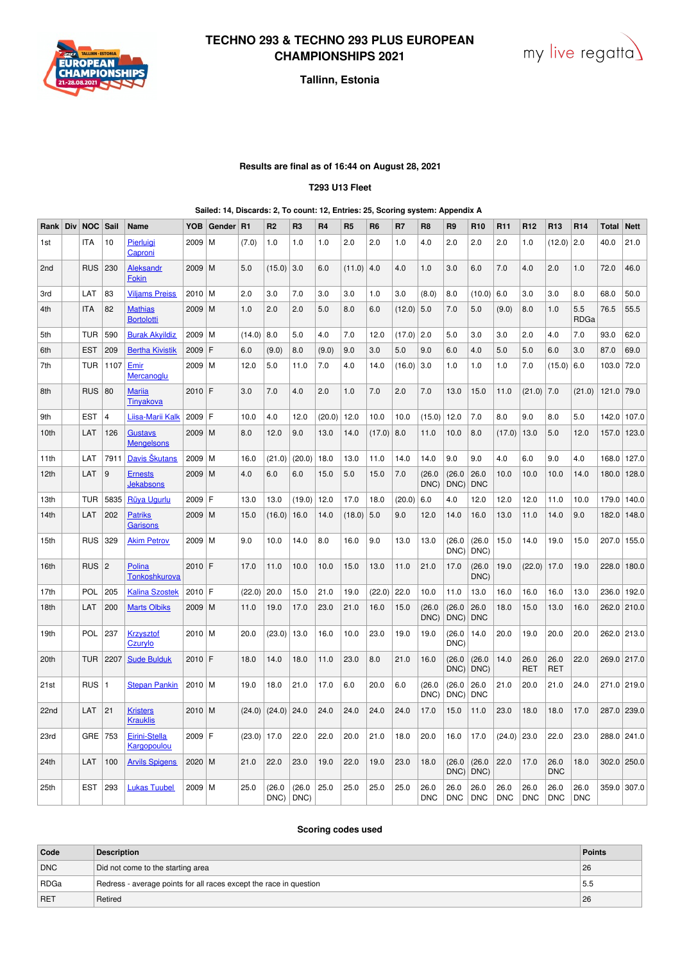

# **TECHNO 293 & TECHNO 293 PLUS EUROPEAN CHAMPIONSHIPS 2021**



**Tallinn, Estonia**

#### **Results are final as of 16:44 on August 28, 2021**

# **T293 U13 Fleet**

#### **Sailed: 14, Discards: 2, To count: 12, Entries: 25, Scoring system: Appendix A**

| Rank Div | <b>NOC</b> | Sail           | Name                                | <b>YOB</b> | Gender | R1     | R <sub>2</sub> | R <sub>3</sub> | <b>R4</b> | R <sub>5</sub> | R <sub>6</sub> | R7     | R <sub>8</sub>     | R <sub>9</sub>     | R <sub>10</sub>    | R <sub>11</sub>    | R <sub>12</sub>    | R <sub>13</sub>    | R <sub>14</sub>    | <b>Total</b> | <b>Nett</b> |
|----------|------------|----------------|-------------------------------------|------------|--------|--------|----------------|----------------|-----------|----------------|----------------|--------|--------------------|--------------------|--------------------|--------------------|--------------------|--------------------|--------------------|--------------|-------------|
| 1st      | <b>ITA</b> | 10             | Pierluigi<br>Caproni                | 2009       | м      | (7.0)  | 1.0            | 1.0            | 1.0       | 2.0            | 2.0            | 1.0    | 4.0                | 2.0                | 2.0                | 2.0                | 1.0                | (12.0)             | 2.0                | 40.0         | 21.0        |
| 2nd      | <b>RUS</b> | 230            | Aleksandr<br>Fokin                  | 2009       | M      | 5.0    | (15.0)         | 3.0            | 6.0       | (11.0)         | 4.0            | 4.0    | 1.0                | 3.0                | 6.0                | 7.0                | 4.0                | 2.0                | 1.0                | 72.0         | 46.0        |
| 3rd      | LAT        | 83             | <b>Viliams Preiss</b>               | 2010       | м      | 2.0    | 3.0            | 7.0            | 3.0       | 3.0            | 1.0            | 3.0    | (8.0)              | 8.0                | (10.0)             | 6.0                | 3.0                | 3.0                | 8.0                | 68.0         | 50.0        |
| 4th      | <b>ITA</b> | 82             | <b>Mathias</b><br><b>Bortolotti</b> | 2009       | M      | 1.0    | 2.0            | 2.0            | 5.0       | 8.0            | 6.0            | (12.0) | 5.0                | 7.0                | 5.0                | (9.0)              | 8.0                | 1.0                | 5.5<br>RDGa        | 76.5         | 55.5        |
| 5th      | <b>TUR</b> | 590            | <b>Burak Akyildiz</b>               | 2009       | M      | (14.0) | 8.0            | 5.0            | 4.0       | 7.0            | 12.0           | (17.0) | 2.0                | 5.0                | 3.0                | 3.0                | 2.0                | 4.0                | 7.0                | 93.0         | 62.0        |
| 6th      | <b>EST</b> | 209            | <b>Bertha Kivistik</b>              | 2009       | F      | 6.0    | (9.0)          | 8.0            | (9.0)     | 9.0            | 3.0            | 5.0    | 9.0                | 6.0                | 4.0                | 5.0                | 5.0                | 6.0                | 3.0                | 87.0         | 69.0        |
| 7th      | <b>TUR</b> | 1107           | Emir<br>Mercanoglu                  | 2009       | M      | 12.0   | 5.0            | 11.0           | 7.0       | 4.0            | 14.0           | (16.0) | 3.0                | 1.0                | 1.0                | 1.0                | 7.0                | (15.0)             | 6.0                | 103.0        | 72.0        |
| 8th      | <b>RUS</b> | 80             | <b>Mariia</b><br><b>Tinyakova</b>   | $2010$ F   |        | 3.0    | 7.0            | 4.0            | 2.0       | 1.0            | 7.0            | 2.0    | 7.0                | 13.0               | 15.0               | 11.0               | (21.0)             | 7.0                | (21.0)             | 121.0        | 79.0        |
| 9th      | <b>EST</b> | 4              | Liisa-Marii Kalk                    | 2009       | F      | 10.0   | 4.0            | 12.0           | (20.0)    | 12.0           | 10.0           | 10.0   | (15.0)             | 12.0               | 7.0                | 8.0                | 9.0                | 8.0                | 5.0                | 142.0        | 107.0       |
| 10th     | LAT        | 126            | <b>Gustavs</b><br><b>Mengelsons</b> | 2009       | M      | 8.0    | 12.0           | 9.0            | 13.0      | 14.0           | (17.0)         | 8.0    | 11.0               | 10.0               | 8.0                | (17.0)             | 13.0               | 5.0                | 12.0               | 157.0        | 123.0       |
| 11th     | LAT        | 7911           | Davis Škutans                       | 2009       | M      | 16.0   | (21.0)         | (20.0)         | 18.0      | 13.0           | 11.0           | 14.0   | 14.0               | 9.0                | 9.0                | 4.0                | 6.0                | 9.0                | 4.0                | 168.0        | 127.0       |
| 12th     | LAT        | 9              | Ernests<br><b>Jekabsons</b>         | 2009       | M      | 4.0    | 6.0            | 6.0            | 15.0      | 5.0            | 15.0           | 7.0    | (26.0)<br>DNC)     | (26.0)<br>DNC)     | 26.0<br><b>DNC</b> | 10.0               | 10.0               | 10.0               | 14.0               | 180.0        | 128.0       |
| 13th     | <b>TUR</b> | 5835           | Rüya Ugurlu                         | 2009       | E      | 13.0   | 13.0           | (19.0)         | 12.0      | 17.0           | 18.0           | (20.0) | 6.0                | 4.0                | 12.0               | 12.0               | 12.0               | 11.0               | 10.0               | 179.0        | 140.0       |
| 14th     | LAT        | 202            | <b>Patriks</b><br>Garisons          | 2009       | M      | 15.0   | (16.0)         | 16.0           | 14.0      | (18.0)         | 5.0            | 9.0    | 12.0               | 14.0               | 16.0               | 13.0               | 11.0               | 14.0               | 9.0                | 182.0        | 148.0       |
| 15th     | <b>RUS</b> | 329            | <b>Akim Petrov</b>                  | 2009       | м      | 9.0    | 10.0           | 14.0           | 8.0       | 16.0           | 9.0            | 13.0   | 13.0               | (26.0)<br>DNC)     | (26.0)<br>DNC)     | 15.0               | 14.0               | 19.0               | 15.0               | 207.0        | 155.0       |
| 16th     | <b>RUS</b> | $\overline{c}$ | Polina<br>Tonkoshkurova             | 2010       | F      | 17.0   | 11.0           | 10.0           | 10.0      | 15.0           | 13.0           | 11.0   | 21.0               | 17.0               | (26.0)<br>DNC)     | 19.0               | (22.0)             | 17.0               | 19.0               | 228.0        | 180.0       |
| 17th     | POL        | 205            | <b>Kalina Szostek</b>               | 2010       | E      | (22.0) | 20.0           | 15.0           | 21.0      | 19.0           | (22.0)         | 22.0   | 10.0               | 11.0               | 13.0               | 16.0               | 16.0               | 16.0               | 13.0               | 236.0        | 192.0       |
| 18th     | LAT        | 200            | <b>Marts Olbiks</b>                 | 2009       | M      | 11.0   | 19.0           | 17.0           | 23.0      | 21.0           | 16.0           | 15.0   | (26.0)<br>DNC)     | (26.0)<br>DNC)     | 26.0<br><b>DNC</b> | 18.0               | 15.0               | 13.0               | 16.0               |              | 262.0 210.0 |
| 19th     | POL        | 237            | Krzysztof<br>Czurylo                | 2010       | M      | 20.0   | (23.0)         | 13.0           | 16.0      | 10.0           | 23.0           | 19.0   | 19.0               | (26.0)<br>DNC)     | 14.0               | 20.0               | 19.0               | 20.0               | 20.0               | 262.0        | 213.0       |
| 20th     | <b>TUR</b> | 2207           | <b>Sude Bulduk</b>                  | 2010       | F      | 18.0   | 14.0           | 18.0           | 11.0      | 23.0           | 8.0            | 21.0   | 16.0               | (26.0)<br>DNC)     | (26.0)<br>DNC)     | 14.0               | 26.0<br><b>RET</b> | 26.0<br><b>RET</b> | 22.0               | 269.0        | 217.0       |
| 21st     | <b>RUS</b> | $\mathbf{1}$   | <b>Stepan Pankin</b>                | 2010       | lм     | 19.0   | 18.0           | 21.0           | 17.0      | 6.0            | 20.0           | 6.0    | (26.0)<br>DNC)     | (26.0)<br>DNC)     | 26.0<br><b>DNC</b> | 21.0               | 20.0               | 21.0               | 24.0               |              | 271.0 219.0 |
| 22nd     | LAT        | 21             | <b>Kristers</b><br><b>Krauklis</b>  | 2010       | M      | (24.0) | (24.0)         | 24.0           | 24.0      | 24.0           | 24.0           | 24.0   | 17.0               | 15.0               | 11.0               | 23.0               | 18.0               | 18.0               | 17.0               | 287.0        | 239.0       |
| 23rd     | GRE        | 753            | Eirini-Stella<br>Kargopoulou        | 2009       | F      | (23.0) | 17.0           | 22.0           | 22.0      | 20.0           | 21.0           | 18.0   | 20.0               | 16.0               | 17.0               | (24.0)             | 23.0               | 22.0               | 23.0               | 288.0        | 241.0       |
| 24th     | LAT        | 100            | <b>Arvils Spigens</b>               | 2020       | M      | 21.0   | 22.0           | 23.0           | 19.0      | 22.0           | 19.0           | 23.0   | 18.0               | (26.0)<br>DNC)     | (26.0)<br>DNC)     | 22.0               | 17.0               | 26.0<br><b>DNC</b> | 18.0               | 302.0        | 250.0       |
| 25th     | <b>EST</b> | 293            | <b>Lukas Tuubel</b>                 | 2009       | M      | 25.0   | (26.0)<br>DNC) | (26.0)<br>DNC) | 25.0      | 25.0           | 25.0           | 25.0   | 26.0<br><b>DNC</b> | 26.0<br><b>DNC</b> | 26.0<br><b>DNC</b> | 26.0<br><b>DNC</b> | 26.0<br><b>DNC</b> | 26.0<br><b>DNC</b> | 26.0<br><b>DNC</b> | 359.0        | 307.0       |

#### **Scoring codes used**

| Code | <b>Description</b>                                                 | <b>Points</b> |
|------|--------------------------------------------------------------------|---------------|
| DNC  | Did not come to the starting area                                  | 26            |
| RDGa | Redress - average points for all races except the race in question | 5.5           |
| RET  | Retired                                                            | 26            |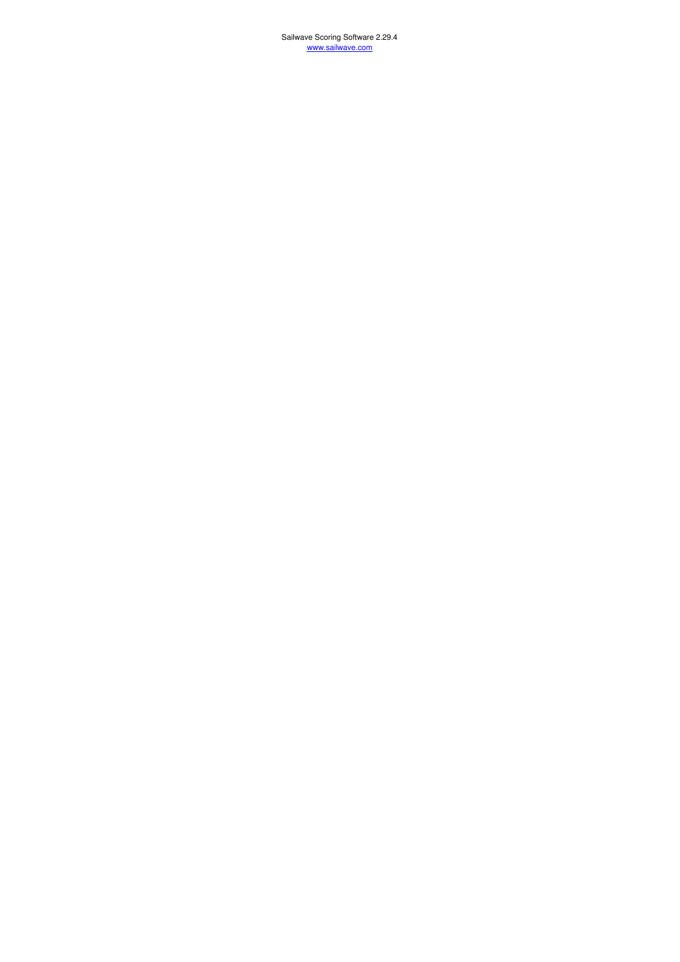Sailwave Scoring Software 2.29.4 [www.sailwave.com](http://www.sailwave.com)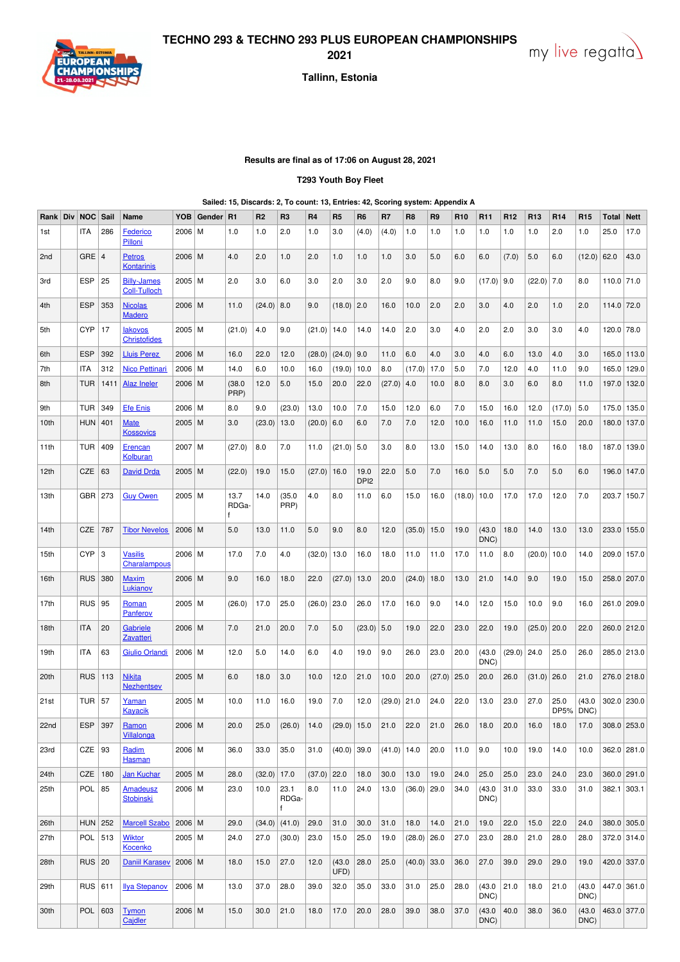



# **Tallinn, Estonia**

#### **Results are final as of 17:06 on August 28, 2021**

#### **T293 Youth Boy Fleet**

**Sailed: 15, Discards: 2, To count: 13, Entries: 42, Scoring system: Appendix A**

| Rank             | Div | <b>NOC</b> | Sail      | Name                                      | YOB        | Gender | R1             | R <sub>2</sub> | R <sub>3</sub>     | R4            | R <sub>5</sub>  | R <sub>6</sub>           | R7            | R <sub>8</sub>  | R <sub>9</sub> | R <sub>10</sub> | R <sub>11</sub> | R <sub>12</sub> | R <sub>13</sub> | R <sub>14</sub> | R <sub>15</sub> | Total         | <b>Nett</b> |
|------------------|-----|------------|-----------|-------------------------------------------|------------|--------|----------------|----------------|--------------------|---------------|-----------------|--------------------------|---------------|-----------------|----------------|-----------------|-----------------|-----------------|-----------------|-----------------|-----------------|---------------|-------------|
| 1st              |     | ITA        | 286       | Federico<br>Pilloni                       | 2006       | l M    | 1.0            | 1.0            | 2.0                | 1.0           | 3.0             | (4.0)                    | (4.0)         | 1.0             | 1.0            | 1.0             | 1.0             | 1.0             | 1.0             | 2.0             | 1.0             | 25.0          | 17.0        |
| 2nd              |     | <b>GRE</b> | $\vert 4$ | <b>Petros</b><br><b>Kontarinis</b>        | 2006 M     |        | 4.0            | 2.0            | 1.0                | 2.0           | 1.0             | 1.0                      | 1.0           | 3.0             | 5.0            | 6.0             | 6.0             | (7.0)           | 5.0             | 6.0             | (12.0)          | 62.0          | 43.0        |
| 3rd              |     | <b>ESP</b> | 25        | <b>Billy-James</b><br><b>Coll-Tulloch</b> | $2005$ M   |        | 2.0            | 3.0            | 6.0                | 3.0           | 2.0             | 3.0                      | 2.0           | 9.0             | 8.0            | 9.0             | (17.0)          | 9.0             | $(22.0)$ 7.0    |                 | 8.0             | $110.0$ 71.0  |             |
| 4th              |     | <b>ESP</b> | 353       | <b>Nicolas</b><br><b>Madero</b>           | $2006$ M   |        | 11.0           | (24.0)         | 8.0                | 9.0           | $(18.0)$ 2.0    |                          | 16.0          | 10.0            | 2.0            | 2.0             | 3.0             | 4.0             | 2.0             | 1.0             | 2.0             | $114.0$ 72.0  |             |
| 5th              |     | <b>CYP</b> | 17        | lakovos<br><b>Christofides</b>            | $2005$ M   |        | (21.0)         | 4.0            | 9.0                | (21.0)        | 14.0            | 14.0                     | 14.0          | 2.0             | 3.0            | 4.0             | 2.0             | 2.0             | 3.0             | 3.0             | 4.0             | 120.0 78.0    |             |
| 6th              |     | <b>ESP</b> | 392       | <b>Lluis Perez</b>                        | 2006       | M      | 16.0           | 22.0           | 12.0               | (28.0)        | $(24.0)$ 9.0    |                          | 11.0          | 6.0             | 4.0            | 3.0             | 4.0             | 6.0             | 13.0            | 4.0             | 3.0             | 165.0 113.0   |             |
| 7th              |     | <b>ITA</b> | 312       | <b>Nico Pettinari</b>                     | $2006$   M |        | 14.0           | 6.0            | 10.0               | 16.0          | $(19.0)$   10.0 |                          | 8.0           | (17.0)          | 17.0           | 5.0             | 7.0             | 12.0            | 4.0             | 11.0            | 9.0             | 165.0         | 129.0       |
| 8th              |     | TUR        | 1411      | <b>Alaz Ineler</b>                        | $2006$ M   |        | (38.0)<br>PRP) | 12.0           | 5.0                | 15.0          | 20.0            | 22.0                     | (27.0)        | 4.0             | 10.0           | 8.0             | 8.0             | 3.0             | 6.0             | 8.0             | 11.0            | 197.0         | 132.0       |
| 9th              |     | <b>TUR</b> | 349       | <b>Efe Enis</b>                           | 2006       | M      | 8.0            | 9.0            | (23.0)             | 13.0          | 10.0            | 7.0                      | 15.0          | 12.0            | 6.0            | 7.0             | 15.0            | 16.0            | 12.0            | (17.0)          | 5.0             | 175.0         | 135.0       |
| 10th             |     | <b>HUN</b> | 401       | <b>Mate</b><br><b>Kossovics</b>           | $2005$ M   |        | 3.0            | (23.0)         | 13.0               | $(20.0)$ 6.0  |                 | 6.0                      | 7.0           | 7.0             | 12.0           | 10.0            | 16.0            | 11.0            | 11.0            | 15.0            | 20.0            | 180.0 137.0   |             |
| 11th             |     | TUR        | 409       | Erencan<br><b>Kolburan</b>                | 2007 M     |        | (27.0)         | 8.0            | 7.0                | 11.0          | $(21.0)$ 5.0    |                          | 3.0           | 8.0             | 13.0           | 15.0            | 14.0            | 13.0            | 8.0             | 16.0            | 18.0            | 187.0         | 139.0       |
| 12 <sub>th</sub> |     | CZE        | 63        | <b>David Drda</b>                         | $2005$ M   |        | (22.0)         | 19.0           | 15.0               | (27.0)        | 16.0            | 19.0<br>DPI <sub>2</sub> | 22.0          | 5.0             | 7.0            | 16.0            | 5.0             | 5.0             | 7.0             | 5.0             | 6.0             | 196.0 147.0   |             |
| 13th             |     | GBR 273    |           | <b>Guy Owen</b>                           | $2005$ M   |        | 13.7<br>RDGa-  | 14.0           | (35.0)<br>PRP)     | 4.0           | 8.0             | 11.0                     | 6.0           | 15.0            | 16.0           | $(18.0)$ 10.0   |                 | 17.0            | 17.0            | 12.0            | 7.0             | 203.7 150.7   |             |
| 14 <sub>th</sub> |     | <b>CZE</b> | 787       | <b>Tibor Nevelos</b>                      | 2006 M     |        | 5.0            | 13.0           | 11.0               | 5.0           | 9.0             | 8.0                      | 12.0          | $(35.0)$   15.0 |                | 19.0            | (43.0)<br>DNC)  | 18.0            | 14.0            | 13.0            | 13.0            | 233.0         | 155.0       |
| 15th             |     | CYP        | 3         | <b>Vasilis</b><br><b>Charalampous</b>     | 2006   M   |        | 17.0           | 7.0            | 4.0                | (32.0)        | 13.0            | 16.0                     | 18.0          | 11.0            | 11.0           | 17.0            | 11.0            | 8.0             | (20.0)          | 10.0            | 14.0            | 209.0         | 157.0       |
| 16th             |     | <b>RUS</b> | 380       | <b>Maxim</b><br><b>Lukianov</b>           | $2006$ M   |        | 9.0            | 16.0           | 18.0               | 22.0          | $(27.0)$ 13.0   |                          | 20.0          | (24.0)          | 18.0           | 13.0            | 21.0            | 14.0            | 9.0             | 19.0            | 15.0            | 258.0 207.0   |             |
| 17th             |     | <b>RUS</b> | 95        | Roman<br><b>Panferov</b>                  | $2005$ M   |        | (26.0)         | 17.0           | 25.0               | (26.0)        | 23.0            | 26.0                     | 17.0          | 16.0            | 9.0            | 14.0            | 12.0            | 15.0            | 10.0            | 9.0             | 16.0            | 261.0 209.0   |             |
| 18th             |     | <b>ITA</b> | 20        | <b>Gabriele</b><br><b>Zavatteri</b>       | 2006 M     |        | 7.0            | 21.0           | 20.0               | 7.0           | 5.0             | $(23.0)$ 5.0             |               | 19.0            | 22.0           | 23.0            | 22.0            | 19.0            | (25.0)          | 20.0            | 22.0            | 260.0 212.0   |             |
| 19th             |     | ITA        | 63        | Giulio Orlandi                            | 2006 M     |        | 12.0           | 5.0            | 14.0               | 6.0           | 4.0             | 19.0                     | 9.0           | 26.0            | 23.0           | 20.0            | (43.0)<br>DNC)  | (29.0)          | 24.0            | 25.0            | 26.0            | 285.0 213.0   |             |
| 20th             |     | <b>RUS</b> | 113       | <b>Nikita</b><br><b>Nezhentsev</b>        | $2005$ M   |        | 6.0            | 18.0           | 3.0                | 10.0          | 12.0            | 21.0                     | 10.0          | 20.0            | $(27.0)$ 25.0  |                 | 20.0            | 26.0            | (31.0)          | 26.0            | 21.0            | 276.0 218.0   |             |
| 21st             |     | TUR        | 57        | Yaman<br><b>Kavacik</b>                   | 2005 M     |        | 10.0           | 11.0           | 16.0               | 19.0          | 7.0             | 12.0                     | $(29.0)$ 21.0 |                 | 24.0           | 22.0            | 13.0            | 23.0            | 27.0            | 25.0<br>DP5%    | (43.0)<br>DNC)  | 302.0 230.0   |             |
| 22nd             |     | ESP 397    |           | Ramon<br>Villalonga                       | $2006$ M   |        | 20.0           | 25.0           | (26.0)             | 14.0          | $(29.0)$ 15.0   |                          | 21.0          | 22.0            | 21.0           | 26.0            | $18.0$ 20.0     |                 | 16.0            | 18.0            | 17.0            | $308.0$ 253.0 |             |
| 23rd             |     | $CZE$   93 |           | Radim<br><b>Hasman</b>                    | 2006 M     |        | 36.0           | 33.0           | 35.0               | 31.0          | $(40.0)$ 39.0   |                          | $(41.0)$ 14.0 |                 | 20.0           | 11.0            | 9.0             | 10.0            | 19.0            | 14.0            | 10.0            |               | 362.0 281.0 |
| 24th             |     | CZE        | 180       | Jan Kuchar                                | $2005$ M   |        | 28.0           | $(32.0)$ 17.0  |                    | $(37.0)$ 22.0 |                 | 18.0                     | 30.0          | 13.0            | 19.0           | 24.0            | 25.0            | 25.0            | 23.0            | 24.0            | 23.0            | 360.0 291.0   |             |
| 25th             |     | POL $ 85$  |           | <b>Amadeusz</b><br><b>Stobinski</b>       | $2006$ M   |        | 23.0           | 10.0           | 23.1<br>RDGa-<br>f | 8.0           | 11.0            | 24.0                     | 13.0          | $(36.0)$ 29.0   |                | 34.0            | (43.0)<br>DNC)  | 31.0            | 33.0            | 33.0            | 31.0            |               | 382.1 303.1 |
| 26th             |     | $HUN$ 252  |           | <b>Marcell Szabo</b>                      | 2006 M     |        | 29.0           | (34.0)         | (41.0)             | 29.0          | 31.0            | 30.0                     | 31.0          | 18.0            | 14.0           | 21.0            | 19.0            | 22.0            | 15.0            | 22.0            | 24.0            | 380.0 305.0   |             |
| 27th             |     | POL 513    |           | <b>Wiktor</b><br><b>Kocenko</b>           | $2005$ M   |        | 24.0           | 27.0           | (30.0)             | 23.0          | 15.0            | 25.0                     | 19.0          | $(28.0)$ 26.0   |                | 27.0            | 23.0            | 28.0            | 21.0            | 28.0            | 28.0            |               | 372.0 314.0 |
| 28th             |     | $RUS$   20 |           | Daniil Karasev                            | $2006$ M   |        | 18.0           | 15.0           | 27.0               | 12.0          | (43.0)<br>UFD)  | 28.0                     | 25.0          | $(40.0)$ 33.0   |                | 36.0            | 27.0            | 39.0            | 29.0            | 29.0            | 19.0            | 420.0 337.0   |             |
| 29th             |     | $RUS$ 611  |           | <b>Ilya Stepanov</b>                      | 2006   M   |        | 13.0           | 37.0           | 28.0               | 39.0          | 32.0            | 35.0                     | 33.0          | 31.0            | 25.0           | 28.0            | (43.0)<br>DNC)  | 21.0            | 18.0            | 21.0            | (43.0)<br>DNC)  | 447.0 361.0   |             |
| 30th             |     | POL 603    |           | <b>Tymon</b><br>Cajdler                   | $2006$ M   |        | 15.0           | 30.0           | 21.0               | 18.0          | 17.0            | 20.0                     | 28.0          | 39.0            | 38.0           | 37.0            | (43.0)<br>DNC)  | 40.0            | 38.0            | 36.0            | (43.0)<br>DNC)  |               | 463.0 377.0 |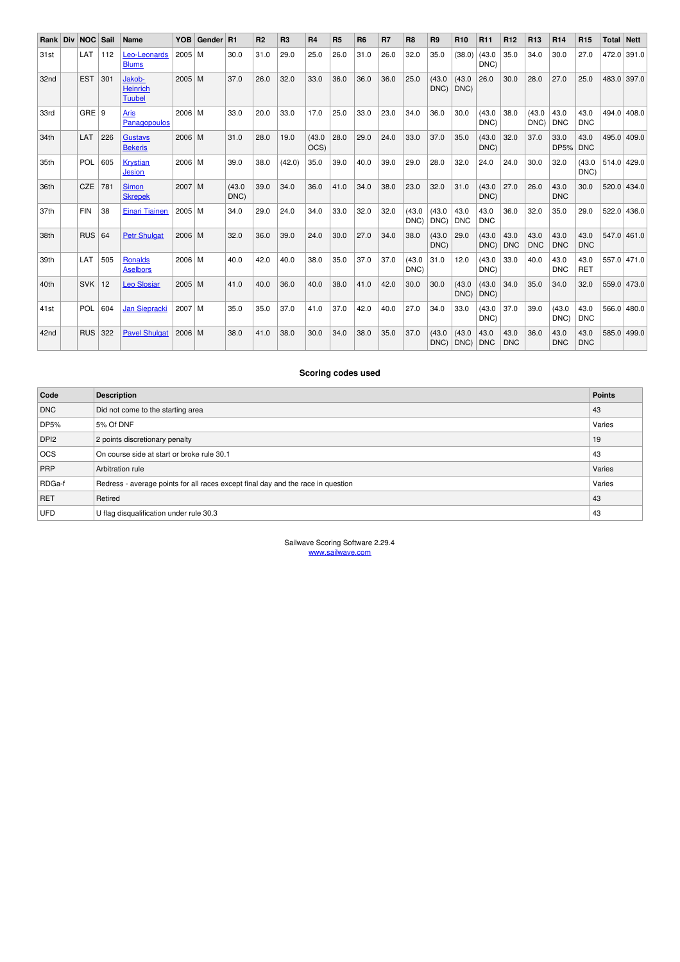| Rank | <b>Div</b> | <b>NOC</b> | Sail | <b>Name</b>                                |          | YOB Gender | R1             | R <sub>2</sub> | R <sub>3</sub> | R4             | R <sub>5</sub> | R <sub>6</sub> | R7   | R <sub>8</sub> | R <sub>9</sub> | R <sub>10</sub>            | <b>R11</b>         | R <sub>12</sub>    | <b>R13</b>         | <b>R14</b>         | R <sub>15</sub>    | <b>Total Nett</b> |             |
|------|------------|------------|------|--------------------------------------------|----------|------------|----------------|----------------|----------------|----------------|----------------|----------------|------|----------------|----------------|----------------------------|--------------------|--------------------|--------------------|--------------------|--------------------|-------------------|-------------|
| 31st |            | LAT        | 112  | Leo-Leonards<br><b>Blums</b>               | $2005$ M |            | 30.0           | 31.0           | 29.0           | 25.0           | 26.0           | 31.0           | 26.0 | 32.0           | 35.0           | (38.0)                     | (43.0)<br>DNC)     | 35.0               | 34.0               | 30.0               | 27.0               |                   | 472.0 391.0 |
| 32nd |            | <b>EST</b> | 301  | Jakob-<br><b>Heinrich</b><br><b>Tuubel</b> | $2005$ M |            | 37.0           | 26.0           | 32.0           | 33.0           | 36.0           | 36.0           | 36.0 | 25.0           | (43.0)<br>DNC) | (43.0)<br>DNC)             | 26.0               | 30.0               | 28.0               | 27.0               | 25.0               |                   | 483.0 397.0 |
| 33rd |            | $GRE$   9  |      | <b>Aris</b><br>Panagopoulos                | 2006 M   |            | 33.0           | 20.0           | 33.0           | 17.0           | 25.0           | 33.0           | 23.0 | 34.0           | 36.0           | 30.0                       | (43.0)<br>DNC)     | 38.0               | (43.0)<br>DNC)     | 43.0<br><b>DNC</b> | 43.0<br><b>DNC</b> |                   | 494.0 408.0 |
| 34th |            | LAT        | 226  | <b>Gustavs</b><br><b>Bekeris</b>           | 2006 M   |            | 31.0           | 28.0           | 19.0           | (43.0)<br>OCS) | 28.0           | 29.0           | 24.0 | 33.0           | 37.0           | 35.0                       | (43.0)<br>DNC)     | 32.0               | 37.0               | 33.0<br>DP5%       | 43.0<br><b>DNC</b> |                   | 495.0 409.0 |
| 35th |            | POL        | 605  | <b>Krystian</b><br><b>Jesion</b>           | $2006$ M |            | 39.0           | 38.0           | (42.0)         | 35.0           | 39.0           | 40.0           | 39.0 | 29.0           | 28.0           | 32.0                       | 24.0               | 24.0               | 30.0               | 32.0               | (43.0)<br>DNC)     |                   | 514.0 429.0 |
| 36th |            | CZE        | 781  | <b>Simon</b><br><b>Skrepek</b>             | $2007$ M |            | (43.0)<br>DNC) | 39.0           | 34.0           | 36.0           | 41.0           | 34.0           | 38.0 | 23.0           | 32.0           | 31.0                       | (43.0)<br>DNC)     | 27.0               | 26.0               | 43.0<br><b>DNC</b> | 30.0               | 520.0             | 434.0       |
| 37th |            | <b>FIN</b> | 38   | <b>Einari Tiainen</b>                      | $2005$ M |            | 34.0           | 29.0           | 24.0           | 34.0           | 33.0           | 32.0           | 32.0 | (43.0)<br>DNC) | (43.0)<br>DNC) | 43.0<br><b>DNC</b>         | 43.0<br><b>DNC</b> | 36.0               | 32.0               | 35.0               | 29.0               | 522.0             | 436.0       |
| 38th |            | <b>RUS</b> | 64   | <b>Petr Shulgat</b>                        | $2006$ M |            | 32.0           | 36.0           | 39.0           | 24.0           | 30.0           | 27.0           | 34.0 | 38.0           | (43.0)<br>DNC) | 29.0                       | (43.0)<br>DNC)     | 43.0<br><b>DNC</b> | 43.0<br><b>DNC</b> | 43.0<br><b>DNC</b> | 43.0<br><b>DNC</b> |                   | 547.0 461.0 |
| 39th |            | LAT        | 505  | <b>Ronalds</b><br><b>Aselbors</b>          | 2006 M   |            | 40.0           | 42.0           | 40.0           | 38.0           | 35.0           | 37.0           | 37.0 | (43.0)<br>DNC) | 31.0           | 12.0                       | (43.0)<br>DNC)     | 33.0               | 40.0               | 43.0<br><b>DNC</b> | 43.0<br><b>RET</b> |                   | 557.0 471.0 |
| 40th |            | <b>SVK</b> | 12   | <b>Leo Slosiar</b>                         | $2005$ M |            | 41.0           | 40.0           | 36.0           | 40.0           | 38.0           | 41.0           | 42.0 | 30.0           | 30.0           | (43.0)<br>DNC)             | (43.0)<br>DNC)     | 34.0               | 35.0               | 34.0               | 32.0               |                   | 559.0 473.0 |
| 41st |            | POL        | 604  | <b>Jan Siepracki</b>                       | 2007 M   |            | 35.0           | 35.0           | 37.0           | 41.0           | 37.0           | 42.0           | 40.0 | 27.0           | 34.0           | 33.0                       | (43.0)<br>DNC)     | 37.0               | 39.0               | (43.0)<br>DNC)     | 43.0<br><b>DNC</b> |                   | 566.0 480.0 |
| 42nd |            | <b>RUS</b> | 322  | <b>Pavel Shulgat</b>                       | $2006$ M |            | 38.0           | 41.0           | 38.0           | 30.0           | 34.0           | 38.0           | 35.0 | 37.0           | (43.0)         | (43.0)<br>$DNC$ ) $ DNC$ ) | 43.0<br><b>DNC</b> | 43.0<br><b>DNC</b> | 36.0               | 43.0<br><b>DNC</b> | 43.0<br><b>DNC</b> |                   | 585.0 499.0 |

# **Scoring codes used**

| Code             | <b>Description</b>                                                               | <b>Points</b> |
|------------------|----------------------------------------------------------------------------------|---------------|
| DNC              | Did not come to the starting area                                                | 43            |
| DP5%             | 5% Of DNF                                                                        | Varies        |
| DPI <sub>2</sub> | 2 points discretionary penalty                                                   | 19            |
| <b>OCS</b>       | On course side at start or broke rule 30.1                                       | 43            |
| PRP              | Arbitration rule                                                                 | Varies        |
| RDGa-f           | Redress - average points for all races except final day and the race in question | Varies        |
| <b>RET</b>       | Retired                                                                          | 43            |
| <b>UFD</b>       | U flag disqualification under rule 30.3                                          | 43            |

Sailwave Scoring Software 2.29.4 [www.sailwave.com](http://www.sailwave.com)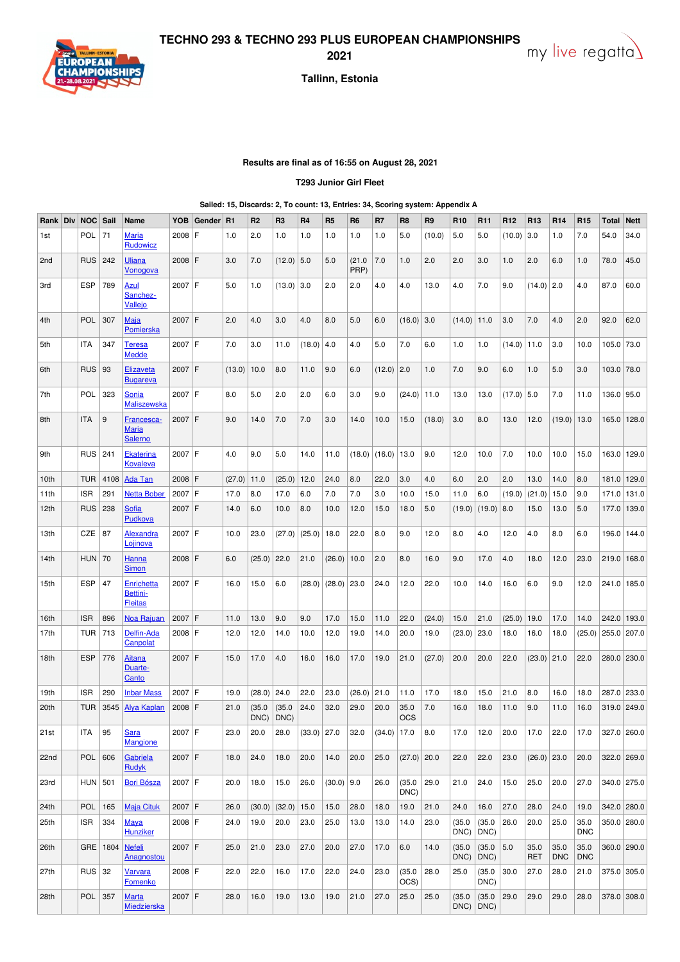



**Tallinn, Estonia**

# **Results are final as of 16:55 on August 28, 2021**

### **T293 Junior Girl Fleet**

**Sailed: 15, Discards: 2, To count: 13, Entries: 34, Scoring system: Appendix A**

| Rank Div         | NOC Sail   |      | Name                                            | YOB      | Gender R1 |        | R <sub>2</sub> | R <sub>3</sub> | R <sub>4</sub> | R <sub>5</sub> | R <sub>6</sub> | R7              | R <sub>8</sub>     | R <sub>9</sub> | R <sub>10</sub>   | R <sub>11</sub> | R <sub>12</sub> | R <sub>13</sub>    | R <sub>14</sub>    | R <sub>15</sub>    | Total        | Nett            |
|------------------|------------|------|-------------------------------------------------|----------|-----------|--------|----------------|----------------|----------------|----------------|----------------|-----------------|--------------------|----------------|-------------------|-----------------|-----------------|--------------------|--------------------|--------------------|--------------|-----------------|
| 1st              | POL        | 71   | <b>Maria</b><br><b>Rudowicz</b>                 | 2008     | l F       | 1.0    | 2.0            | 1.0            | 1.0            | 1.0            | 1.0            | 1.0             | 5.0                | (10.0)         | 5.0               | 5.0             | $(10.0)$ 3.0    |                    | 1.0                | 7.0                | 54.0         | 34.0            |
| 2 <sub>nd</sub>  | <b>RUS</b> | 242  | Uliana<br>Vonogova                              | 2008     | l F       | 3.0    | 7.0            | (12.0)         | 5.0            | 5.0            | (21.0)<br>PRP) | 7.0             | 1.0                | 2.0            | 2.0               | 3.0             | 1.0             | 2.0                | 6.0                | 1.0                | 78.0         | 45.0            |
| 3rd              | <b>ESP</b> | 789  | Azul<br>Sanchez-<br><b>Vallejo</b>              | 2007 F   |           | 5.0    | 1.0            | $(13.0)$ 3.0   |                | 2.0            | 2.0            | 4.0             | 4.0                | 13.0           | 4.0               | 7.0             | 9.0             | (14.0)             | 2.0                | 4.0                | 87.0         | 60.0            |
| 4th              | <b>POL</b> | 307  | Maja<br>Pomierska                               | $2007$ F |           | 2.0    | 4.0            | 3.0            | 4.0            | 8.0            | 5.0            | 6.0             | (16.0)             | 3.0            | (14.0)            | 11.0            | 3.0             | 7.0                | 4.0                | 2.0                | 92.0         | 62.0            |
| 5th              | <b>ITA</b> | 347  | <b>Teresa</b><br><b>Medde</b>                   | 2007   F |           | 7.0    | 3.0            | 11.0           | (18.0)         | 4.0            | 4.0            | 5.0             | 7.0                | 6.0            | 1.0               | 1.0             | (14.0)          | 11.0               | 3.0                | 10.0               | $105.0$ 73.0 |                 |
| 6th              | <b>RUS</b> | 93   | <b>Elizaveta</b><br><b>Bugareva</b>             | 2007 F   |           | (13.0) | 10.0           | 8.0            | 11.0           | 9.0            | 6.0            | $(12.0)$ 2.0    |                    | 1.0            | 7.0               | 9.0             | 6.0             | 1.0                | 5.0                | 3.0                | $103.0$ 78.0 |                 |
| 7th              | <b>POL</b> | 323  | Sonia<br><b>Maliszewska</b>                     | 2007 F   |           | 8.0    | 5.0            | 2.0            | 2.0            | 6.0            | 3.0            | 9.0             | (24.0)             | 11.0           | 13.0              | 13.0            | (17.0)          | 5.0                | 7.0                | 11.0               | 136.0 95.0   |                 |
| 8th              | <b>ITA</b> | 9    | Francesca-<br>Maria<br><b>Salerno</b>           | $2007$ F |           | 9.0    | 14.0           | 7.0            | 7.0            | 3.0            | 14.0           | 10.0            | 15.0               | (18.0)         | 3.0               | 8.0             | 13.0            | 12.0               | (19.0)             | 13.0               |              | 165.0 128.0     |
| 9th              | <b>RUS</b> | 241  | <b>Ekaterina</b><br>Kovaleva                    | 2007 F   |           | 4.0    | 9.0            | 5.0            | 14.0           | 11.0           | (18.0)         | (16.0)          | 13.0               | 9.0            | 12.0              | 10.0            | 7.0             | 10.0               | 10.0               | 15.0               |              | 163.0 129.0     |
| 10th             | <b>TUR</b> | 4108 | <b>Ada Tan</b>                                  | 2008     | l F       | (27.0) | 11.0           | (25.0)         | 12.0           | 24.0           | 8.0            | 22.0            | 3.0                | 4.0            | 6.0               | 2.0             | 2.0             | 13.0               | 14.0               | 8.0                |              | 181.0 129.0     |
| 11th             | <b>ISR</b> | 291  | <b>Netta Bober</b>                              | 2007 F   |           | 17.0   | 8.0            | 17.0           | 6.0            | 7.0            | 7.0            | 3.0             | 10.0               | 15.0           | 11.0              | 6.0             | (19.0)          | (21.0)             | 15.0               | 9.0                | 171.0        | 131.0           |
| 12 <sub>th</sub> | RUS   238  |      | <b>Sofia</b><br>Pudkova                         | 2007     | l F       | 14.0   | 6.0            | 10.0           | 8.0            | 10.0           | 12.0           | 15.0            | 18.0               | 5.0            | (19.0)            | (19.0)          | 8.0             | 15.0               | 13.0               | 5.0                |              | 177.0 139.0     |
| 13th             | CZE        | 87   | Alexandra<br><b>Lojinova</b>                    | 2007 F   |           | 10.0   | 23.0           | (27.0)         | (25.0)         | 18.0           | 22.0           | 8.0             | 9.0                | 12.0           | 8.0               | 4.0             | 12.0            | 4.0                | 8.0                | 6.0                |              | 196.0 144.0     |
| 14th             | $HUN$   70 |      | <b>Hanna</b><br><b>Simon</b>                    | $2008$ F |           | 6.0    | (25.0)         | 22.0           | 21.0           | (26.0)         | 10.0           | 2.0             | 8.0                | 16.0           | 9.0               | 17.0            | 4.0             | 18.0               | 12.0               | 23.0               |              | $219.0$   168.0 |
| 15th             | <b>ESP</b> | 47   | Enrichetta<br><b>Bettini-</b><br><b>Fleitas</b> | 2007 F   |           | 16.0   | 15.0           | 6.0            | (28.0)         | (28.0)         | 23.0           | 24.0            | 12.0               | 22.0           | 10.0              | 14.0            | 16.0            | 6.0                | 9.0                | 12.0               |              | 241.0 185.0     |
| 16th             | <b>ISR</b> | 896  | Noa Rajuan                                      | $2007$ F |           | 11.0   | 13.0           | 9.0            | 9.0            | 17.0           | 15.0           | 11.0            | 22.0               | (24.0)         | 15.0              | 21.0            | (25.0)          | 19.0               | 17.0               | 14.0               |              | 242.0 193.0     |
| 17th             | TUR        | 713  | Delfin-Ada<br>Canpolat                          | 2008 F   |           | 12.0   | 12.0           | 14.0           | 10.0           | 12.0           | 19.0           | 14.0            | 20.0               | 19.0           | (23.0)            | 23.0            | 18.0            | 16.0               | 18.0               | (25.0)             |              | 255.0 207.0     |
| 18th             | <b>ESP</b> | 776  | <b>Aitana</b><br>Duarte-<br>Canto               | 2007 F   |           | 15.0   | 17.0           | 4.0            | 16.0           | 16.0           | 17.0           | 19.0            | 21.0               | (27.0)         | 20.0              | 20.0            | 22.0            | (23.0)             | 21.0               | 22.0               |              | 280.0 230.0     |
| 19th             | <b>ISR</b> | 290  | <b>Inbar Mass</b>                               | 2007     | ١F        | 19.0   | (28.0)         | 24.0           | 22.0           | 23.0           | (26.0)         | 21.0            | 11.0               | 17.0           | 18.0              | 15.0            | 21.0            | 8.0                | 16.0               | 18.0               | 287.0        | 233.0           |
| 20th             | TUR        | 3545 | <b>Alya Kaplan</b>                              | 2008     | l F       | 21.0   | (35.0)<br>DNC) | (35.0)<br>DNC) | 24.0           | 32.0           | 29.0           | 20.0            | 35.0<br><b>OCS</b> | 7.0            | 16.0              | 18.0            | 11.0            | 9.0                | 11.0               | 16.0               |              | 319.0 249.0     |
| 21st             | ITA        | 95   | <u>Sara</u><br><b>Mangione</b>                  | $2007$ F |           | 23.0   | 20.0           | 28.0           | $(33.0)$ 27.0  |                | 32.0           | $(34.0)$   17.0 |                    | 8.0            | 17.0              | 12.0            | 20.0            | 17.0               | 22.0               | 17.0               |              | $327.0$ 260.0   |
| 22 <sub>nd</sub> | <b>POL</b> | 606  | Gabriela<br>Rudyk                               | $2007$ F |           | 18.0   | 24.0           | 18.0           | 20.0           | 14.0           | 20.0           | 25.0            | $(27.0)$ 20.0      |                | 22.0              | 22.0            | 23.0            | $(26.0)$ 23.0      |                    | 20.0               |              | 322.0 269.0     |
| 23rd             | $HUN$ 501  |      | <b>Bori Bósza</b>                               | $2007$ F |           | 20.0   | 18.0           | 15.0           | 26.0           | $(30.0)$ 9.0   |                | 26.0            | (35.0)<br>DNC)     | 29.0           | 21.0              | 24.0            | 15.0            | 25.0               | 20.0               | 27.0               |              | $340.0$ 275.0   |
| 24th             | POL        | 165  | <b>Maja Cituk</b>                               | 2007 F   |           | 26.0   | (30.0)         | $(32.0)$ 15.0  |                | 15.0           | 28.0           | 18.0            | 19.0               | 21.0           | 24.0              | 16.0            | 27.0            | 28.0               | 24.0               | 19.0               |              | 342.0 280.0     |
| 25th             | <b>ISR</b> | 334  | <b>Maya</b><br><b>Hunziker</b>                  | 2008 F   |           | 24.0   | 19.0           | 20.0           | 23.0           | 25.0           | 13.0           | 13.0            | 14.0               | 23.0           | (35.0)<br>DNC)    | (35.0)<br>DNC)  | 26.0            | 20.0               | 25.0               | 35.0<br><b>DNC</b> |              | 350.0   280.0   |
| 26th             | GRE   1804 |      | <b>Nefeli</b><br>Anagnostou                     | $2007$ F |           | 25.0   | 21.0           | 23.0           | 27.0           | 20.0           | 27.0           | 17.0            | 6.0                | 14.0           | (35.0)<br>DNC)    | (35.0)<br>DNC)  | 5.0             | 35.0<br><b>RET</b> | 35.0<br><b>DNC</b> | 35.0<br><b>DNC</b> |              | 360.0 290.0     |
| 27th             | $RUS$ 32   |      | Varvara<br>Fomenko                              | 2008 F   |           | 22.0   | 22.0           | 16.0           | 17.0           | 22.0           | 24.0           | 23.0            | (35.0)<br>OCS)     | 28.0           | 25.0              | (35.0)<br>DNC)  | 30.0            | 27.0               | 28.0               | 21.0               |              | $375.0$ 305.0   |
| 28th             | POL 357    |      | <b>Marta</b><br>Miedzierska                     | $2007$ F |           | 28.0   | 16.0           | 19.0           | 13.0           | 19.0           | 21.0           | 27.0            | 25.0               | 25.0           | (35.0)<br>$DNC$ ) | (35.0)<br>DNC)  | 29.0            | 29.0               | 29.0               | 28.0               |              | 378.0 308.0     |